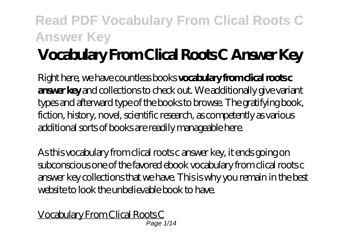# **Vocabulary From Clical Roots C Answer Key**

Right here, we have countless books **vocabulary from clical roots c answer key** and collections to check out. We additionally give variant types and afterward type of the books to browse. The gratifying book, fiction, history, novel, scientific research, as competently as various additional sorts of books are readily manageable here.

As this vocabulary from clical roots c answer key, it ends going on subconscious one of the favored ebook vocabulary from clical roots c answer key collections that we have. This is why you remain in the best website to look the unbelievable book to have.

Vocabulary From Clical Roots C Page 1/14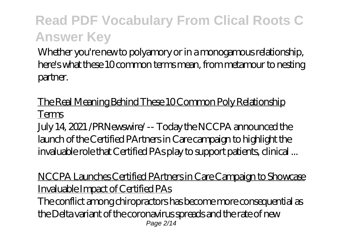Whether you're new to polyamory or in a monogamous relationship, here's what these 10 common terms mean, from metamour to nesting partner.

The Real Meaning Behind These 10 Common Poly Relationship Terms

July 14, 2021 /PRNewswire/ -- Today the NCCPA announced the launch of the Certified PArtners in Care campaign to highlight the invaluable role that Certified PAs play to support patients, clinical ...

NCCPA Launches Certified PArtners in Care Campaign to Showcase Invaluable Impact of Certified PAs

The conflict among chiropractors has become more consequential as the Delta variant of the coronavirus spreads and the rate of new Page 2/14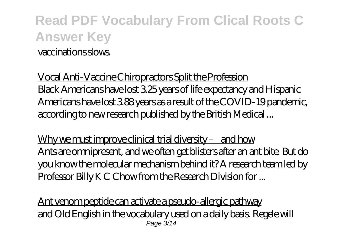### **Read PDF Vocabulary From Clical Roots C Answer Key** vaccinations slows.

Vocal Anti-Vaccine Chiropractors Split the Profession Black Americans have lost 3.25 years of life expectancy and Hispanic Americans have lost 3.88 years as a result of the COVID-19 pandemic, according to new research published by the British Medical ...

Why we must improve clinical trial diversity – and how Ants are omnipresent, and we often get blisters after an ant bite. But do you know the molecular mechanism behind it? A research team led by Professor Billy K C Chow from the Research Division for ...

Ant venom peptide can activate a pseudo-allergic pathway and Old English in the vocabulary used on a daily basis. Regele will Page 3/14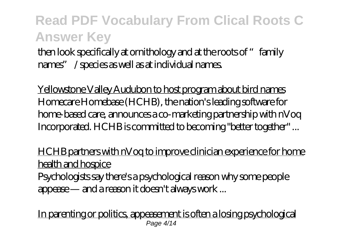then look specifically at ornithology and at the roots of "family names" / species as well as at individual names.

Yellowstone Valley Audubon to host program about bird names Homecare Homebase (HCHB), the nation's leading software for home-based care, announces a co-marketing partnership with nVoq Incorporated. HCHB is committed to becoming "better together" ...

HCHB partners with nVoq to improve clinician experience for home health and hospice

Psychologists say there's a psychological reason why some people appease — and a reason it doesn't always work ...

In parenting or politics, appeasement is often a losing psychological Page 4/14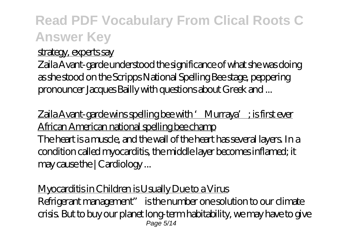#### strategy, experts say

Zaila Avant-garde understood the significance of what she was doing as she stood on the Scripps National Spelling Bee stage, peppering pronouncer Jacques Bailly with questions about Greek and ...

 $Z$ aila Avant-garde wins spelling bee with 'Murraya'; is first ever African American national spelling bee champ The heart is a muscle, and the wall of the heart has several layers. In a condition called myocarditis, the middle layer becomes inflamed; it may cause the | Cardiology ...

Myocarditis in Children is Usually Due to a Virus Refrigerant management" is the number one solution to our climate crisis. But to buy our planet long-term habitability, we may have to give Page 5/14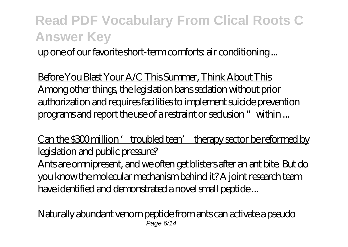up one of our favorite short-term comforts: air conditioning ...

Before You Blast Your A/C This Summer, Think About This Among other things, the legislation bans sedation without prior authorization and requires facilities to implement suicide prevention programs and report the use of a restraint or seclusion "within ...

Can the \$300 million 'troubled teen' therapy sector be reformed by legislation and public pressure?

Ants are omnipresent, and we often get blisters after an ant bite. But do you know the molecular mechanism behind it? A joint research team have identified and demonstrated a novel small peptide ...

Naturally abundant venom peptide from ants can activate a pseudo Page 6/14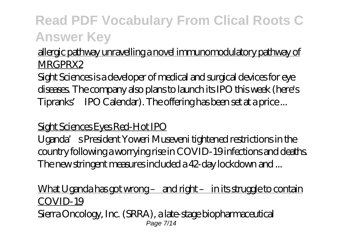#### allergic pathway unravelling a novel immunomodulatory pathway of MRGPRX2

Sight Sciences is a developer of medical and surgical devices for eye diseases. The company also plans to launch its IPO this week (here's Tipranks' IPO Calendar). The offering has been set at a price ...

#### Sight Sciences Eyes Red-Hot IPO

Uganda's President Yoweri Museveni tightened restrictions in the country following a worrying rise in COVID-19 infections and deaths. The new stringent measures included a 42-day lockdown and ...

#### What Uganda has got wrong – and right – in its struggle to contain COVID-19

Sierra Oncology, Inc. (SRRA), a late-stage biopharmaceutical Page 7/14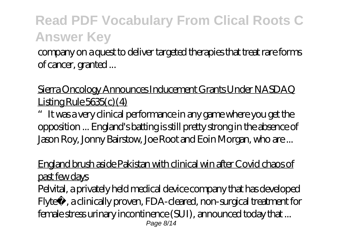company on a quest to deliver targeted therapies that treat rare forms of cancer, granted ...

#### Sierra Oncology Announces Inducement Grants Under NASDAQ Listing Rule  $5635(c)$  (4)

"It was a very clinical performance in any game where you get the opposition ... England's batting is still pretty strong in the absence of Jason Roy, Jonny Bairstow, Joe Root and Eoin Morgan, who are ...

#### England brush aside Pakistan with clinical win after Covid chaos of past few days

Pelvital, a privately held medical device company that has developed Flyte™, a clinically proven, FDA-cleared, non-surgical treatment for female stress urinary incontinence (SUI), announced today that ... Page 8/14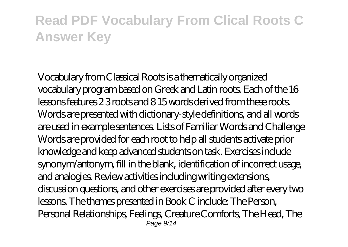Vocabulary from Classical Roots is a thematically organized vocabulary program based on Greek and Latin roots. Each of the 16 lessons features 2 3 roots and 8 15 words derived from these roots. Words are presented with dictionary-style definitions, and all words are used in example sentences. Lists of Familiar Words and Challenge Words are provided for each root to help all students activate prior knowledge and keep advanced students on task. Exercises include synonym/antonym, fill in the blank, identification of incorrect usage, and analogies. Review activities including writing extensions, discussion questions, and other exercises are provided after every two lessons. The themes presented in Book C include: The Person, Personal Relationships, Feelings, Creature Comforts, The Head, The Page 9/14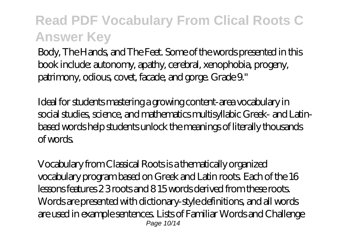Body, The Hands, and The Feet. Some of the words presented in this book include: autonomy, apathy, cerebral, xenophobia, progeny, patrimony, odious, covet, facade, and gorge. Grade 9."

Ideal for students mastering a growing content-area vocabulary in social studies, science, and mathematics multisyllabic Greek- and Latinbased words help students unlock the meanings of literally thousands of words.

Vocabulary from Classical Roots is a thematically organized vocabulary program based on Greek and Latin roots. Each of the 16 lessons features 2 3 roots and 8 15 words derived from these roots. Words are presented with dictionary-style definitions, and all words are used in example sentences. Lists of Familiar Words and Challenge Page 10/14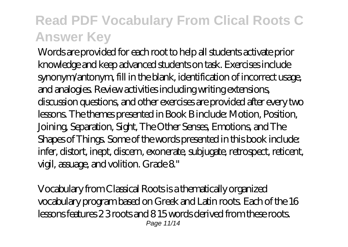Words are provided for each root to help all students activate prior knowledge and keep advanced students on task. Exercises include synonym/antonym, fill in the blank, identification of incorrect usage, and analogies. Review activities including writing extensions, discussion questions, and other exercises are provided after every two lessons. The themes presented in Book B include: Motion, Position, Joining, Separation, Sight, The Other Senses, Emotions, and The Shapes of Things. Some of the words presented in this book include: infer, distort, inept, discern, exonerate, subjugate, retrospect, reticent, vigil, assuage, and volition. Grade 8."

Vocabulary from Classical Roots is a thematically organized vocabulary program based on Greek and Latin roots. Each of the 16 lessons features 2 3 roots and 8 15 words derived from these roots. Page 11/14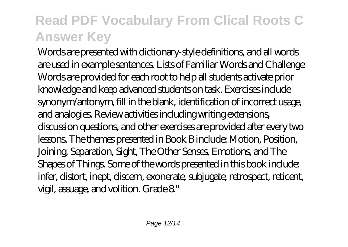Words are presented with dictionary-style definitions, and all words are used in example sentences. Lists of Familiar Words and Challenge Words are provided for each root to help all students activate prior knowledge and keep advanced students on task. Exercises include synonym/antonym, fill in the blank, identification of incorrect usage, and analogies. Review activities including writing extensions, discussion questions, and other exercises are provided after every two lessons. The themes presented in Book B include: Motion, Position, Joining, Separation, Sight, The Other Senses, Emotions, and The Shapes of Things. Some of the words presented in this book include: infer, distort, inept, discern, exonerate, subjugate, retrospect, reticent, vigil, assuage, and volition. Grade 8."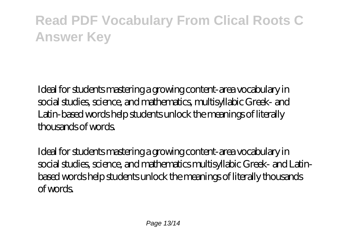Ideal for students mastering a growing content-area vocabulary in social studies, science, and mathematics, multisyllabic Greek- and Latin-based words help students unlock the meanings of literally thousands of words.

Ideal for students mastering a growing content-area vocabulary in social studies, science, and mathematics multisyllabic Greek- and Latinbased words help students unlock the meanings of literally thousands of words.